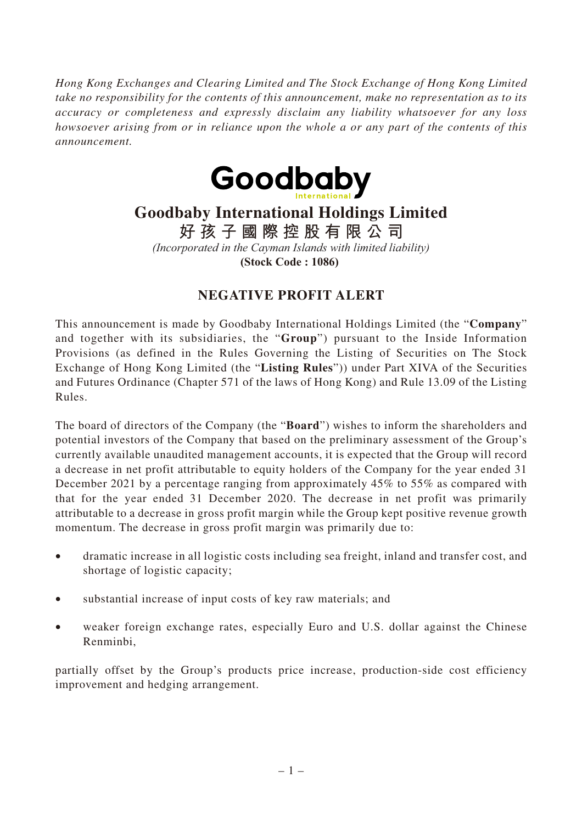*Hong Kong Exchanges and Clearing Limited and The Stock Exchange of Hong Kong Limited take no responsibility for the contents of this announcement, make no representation as to its accuracy or completeness and expressly disclaim any liability whatsoever for any loss howsoever arising from or in reliance upon the whole a or any part of the contents of this announcement.*



## **Goodbaby International Holdings Limited**

**好孩子國際控股有限公司**

*(Incorporated in the Cayman Islands with limited liability)* **(Stock Code : 1086)** 

## **NEGATIVE PROFIT ALERT**

This announcement is made by Goodbaby International Holdings Limited (the "**Company**" and together with its subsidiaries, the "**Group**") pursuant to the Inside Information Provisions (as defined in the Rules Governing the Listing of Securities on The Stock Exchange of Hong Kong Limited (the "**Listing Rules**")) under Part XIVA of the Securities and Futures Ordinance (Chapter 571 of the laws of Hong Kong) and Rule 13.09 of the Listing Rules.

The board of directors of the Company (the "**Board**") wishes to inform the shareholders and potential investors of the Company that based on the preliminary assessment of the Group's currently available unaudited management accounts, it is expected that the Group will record a decrease in net profit attributable to equity holders of the Company for the year ended 31 December 2021 by a percentage ranging from approximately 45% to 55% as compared with that for the year ended 31 December 2020. The decrease in net profit was primarily attributable to a decrease in gross profit margin while the Group kept positive revenue growth momentum. The decrease in gross profit margin was primarily due to:

- dramatic increase in all logistic costs including sea freight, inland and transfer cost, and shortage of logistic capacity;
- substantial increase of input costs of key raw materials; and
- weaker foreign exchange rates, especially Euro and U.S. dollar against the Chinese Renminbi,

partially offset by the Group's products price increase, production-side cost efficiency improvement and hedging arrangement.